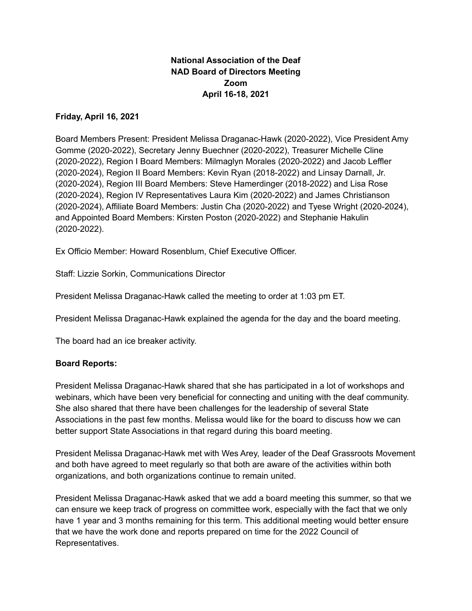# **National Association of the Deaf NAD Board of Directors Meeting Zoom April 16-18, 2021**

#### **Friday, April 16, 2021**

Board Members Present: President Melissa Draganac-Hawk (2020-2022), Vice President Amy Gomme (2020-2022), Secretary Jenny Buechner (2020-2022), Treasurer Michelle Cline (2020-2022), Region I Board Members: Milmaglyn Morales (2020-2022) and Jacob Leffler (2020-2024), Region II Board Members: Kevin Ryan (2018-2022) and Linsay Darnall, Jr. (2020-2024), Region III Board Members: Steve Hamerdinger (2018-2022) and Lisa Rose (2020-2024), Region IV Representatives Laura Kim (2020-2022) and James Christianson (2020-2024), Affiliate Board Members: Justin Cha (2020-2022) and Tyese Wright (2020-2024), and Appointed Board Members: Kirsten Poston (2020-2022) and Stephanie Hakulin (2020-2022).

Ex Officio Member: Howard Rosenblum, Chief Executive Officer.

Staff: Lizzie Sorkin, Communications Director

President Melissa Draganac-Hawk called the meeting to order at 1:03 pm ET.

President Melissa Draganac-Hawk explained the agenda for the day and the board meeting.

The board had an ice breaker activity.

#### **Board Reports:**

President Melissa Draganac-Hawk shared that she has participated in a lot of workshops and webinars, which have been very beneficial for connecting and uniting with the deaf community. She also shared that there have been challenges for the leadership of several State Associations in the past few months. Melissa would like for the board to discuss how we can better support State Associations in that regard during this board meeting.

President Melissa Draganac-Hawk met with Wes Arey, leader of the Deaf Grassroots Movement and both have agreed to meet regularly so that both are aware of the activities within both organizations, and both organizations continue to remain united.

President Melissa Draganac-Hawk asked that we add a board meeting this summer, so that we can ensure we keep track of progress on committee work, especially with the fact that we only have 1 year and 3 months remaining for this term. This additional meeting would better ensure that we have the work done and reports prepared on time for the 2022 Council of Representatives.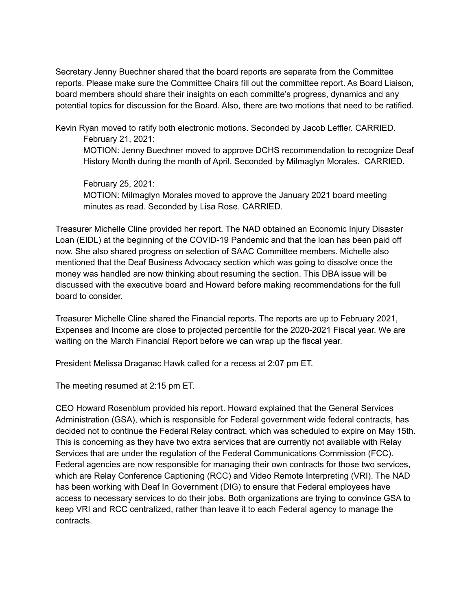Secretary Jenny Buechner shared that the board reports are separate from the Committee reports. Please make sure the Committee Chairs fill out the committee report. As Board Liaison, board members should share their insights on each committe's progress, dynamics and any potential topics for discussion for the Board. Also, there are two motions that need to be ratified.

Kevin Ryan moved to ratify both electronic motions. Seconded by Jacob Leffler. CARRIED. February 21, 2021:

MOTION: Jenny Buechner moved to approve DCHS recommendation to recognize Deaf History Month during the month of April. Seconded by Milmaglyn Morales. CARRIED.

February 25, 2021: MOTION: Milmaglyn Morales moved to approve the January 2021 board meeting minutes as read. Seconded by Lisa Rose. CARRIED.

Treasurer Michelle Cline provided her report. The NAD obtained an Economic Injury Disaster Loan (EIDL) at the beginning of the COVID-19 Pandemic and that the loan has been paid off now. She also shared progress on selection of SAAC Committee members. Michelle also mentioned that the Deaf Business Advocacy section which was going to dissolve once the money was handled are now thinking about resuming the section. This DBA issue will be discussed with the executive board and Howard before making recommendations for the full board to consider.

Treasurer Michelle Cline shared the Financial reports. The reports are up to February 2021, Expenses and Income are close to projected percentile for the 2020-2021 Fiscal year. We are waiting on the March Financial Report before we can wrap up the fiscal year.

President Melissa Draganac Hawk called for a recess at 2:07 pm ET.

The meeting resumed at 2:15 pm ET.

CEO Howard Rosenblum provided his report. Howard explained that the General Services Administration (GSA), which is responsible for Federal government wide federal contracts, has decided not to continue the Federal Relay contract, which was scheduled to expire on May 15th. This is concerning as they have two extra services that are currently not available with Relay Services that are under the regulation of the Federal Communications Commission (FCC). Federal agencies are now responsible for managing their own contracts for those two services, which are Relay Conference Captioning (RCC) and Video Remote Interpreting (VRI). The NAD has been working with Deaf In Government (DIG) to ensure that Federal employees have access to necessary services to do their jobs. Both organizations are trying to convince GSA to keep VRI and RCC centralized, rather than leave it to each Federal agency to manage the contracts.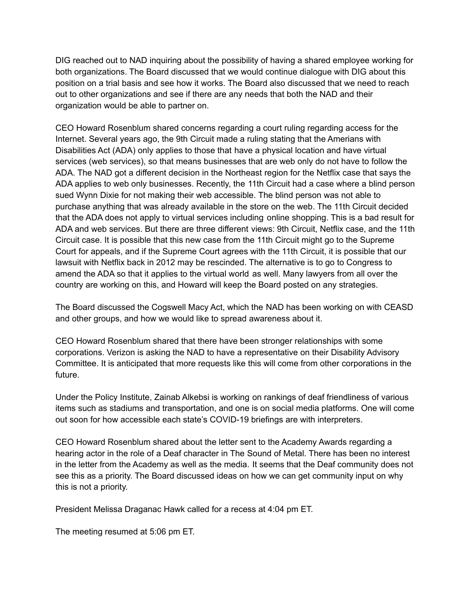DIG reached out to NAD inquiring about the possibility of having a shared employee working for both organizations. The Board discussed that we would continue dialogue with DIG about this position on a trial basis and see how it works. The Board also discussed that we need to reach out to other organizations and see if there are any needs that both the NAD and their organization would be able to partner on.

CEO Howard Rosenblum shared concerns regarding a court ruling regarding access for the Internet. Several years ago, the 9th Circuit made a ruling stating that the Amerians with Disabilities Act (ADA) only applies to those that have a physical location and have virtual services (web services), so that means businesses that are web only do not have to follow the ADA. The NAD got a different decision in the Northeast region for the Netflix case that says the ADA applies to web only businesses. Recently, the 11th Circuit had a case where a blind person sued Wynn Dixie for not making their web accessible. The blind person was not able to purchase anything that was already available in the store on the web. The 11th Circuit decided that the ADA does not apply to virtual services including online shopping. This is a bad result for ADA and web services. But there are three different views: 9th Circuit, Netflix case, and the 11th Circuit case. It is possible that this new case from the 11th Circuit might go to the Supreme Court for appeals, and if the Supreme Court agrees with the 11th Circuit, it is possible that our lawsuit with Netflix back in 2012 may be rescinded. The alternative is to go to Congress to amend the ADA so that it applies to the virtual world as well. Many lawyers from all over the country are working on this, and Howard will keep the Board posted on any strategies.

The Board discussed the Cogswell Macy Act, which the NAD has been working on with CEASD and other groups, and how we would like to spread awareness about it.

CEO Howard Rosenblum shared that there have been stronger relationships with some corporations. Verizon is asking the NAD to have a representative on their Disability Advisory Committee. It is anticipated that more requests like this will come from other corporations in the future.

Under the Policy Institute, Zainab Alkebsi is working on rankings of deaf friendliness of various items such as stadiums and transportation, and one is on social media platforms. One will come out soon for how accessible each state's COVID-19 briefings are with interpreters.

CEO Howard Rosenblum shared about the letter sent to the Academy Awards regarding a hearing actor in the role of a Deaf character in The Sound of Metal. There has been no interest in the letter from the Academy as well as the media. It seems that the Deaf community does not see this as a priority. The Board discussed ideas on how we can get community input on why this is not a priority.

President Melissa Draganac Hawk called for a recess at 4:04 pm ET.

The meeting resumed at 5:06 pm ET.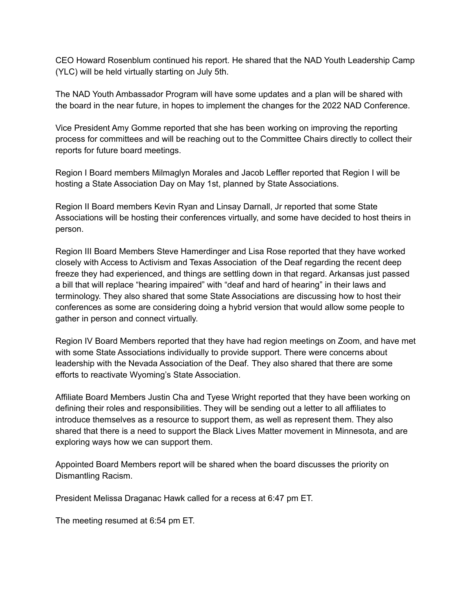CEO Howard Rosenblum continued his report. He shared that the NAD Youth Leadership Camp (YLC) will be held virtually starting on July 5th.

The NAD Youth Ambassador Program will have some updates and a plan will be shared with the board in the near future, in hopes to implement the changes for the 2022 NAD Conference.

Vice President Amy Gomme reported that she has been working on improving the reporting process for committees and will be reaching out to the Committee Chairs directly to collect their reports for future board meetings.

Region I Board members Milmaglyn Morales and Jacob Leffler reported that Region I will be hosting a State Association Day on May 1st, planned by State Associations.

Region II Board members Kevin Ryan and Linsay Darnall, Jr reported that some State Associations will be hosting their conferences virtually, and some have decided to host theirs in person.

Region III Board Members Steve Hamerdinger and Lisa Rose reported that they have worked closely with Access to Activism and Texas Association of the Deaf regarding the recent deep freeze they had experienced, and things are settling down in that regard. Arkansas just passed a bill that will replace "hearing impaired" with "deaf and hard of hearing" in their laws and terminology. They also shared that some State Associations are discussing how to host their conferences as some are considering doing a hybrid version that would allow some people to gather in person and connect virtually.

Region IV Board Members reported that they have had region meetings on Zoom, and have met with some State Associations individually to provide support. There were concerns about leadership with the Nevada Association of the Deaf. They also shared that there are some efforts to reactivate Wyoming's State Association.

Affiliate Board Members Justin Cha and Tyese Wright reported that they have been working on defining their roles and responsibilities. They will be sending out a letter to all affiliates to introduce themselves as a resource to support them, as well as represent them. They also shared that there is a need to support the Black Lives Matter movement in Minnesota, and are exploring ways how we can support them.

Appointed Board Members report will be shared when the board discusses the priority on Dismantling Racism.

President Melissa Draganac Hawk called for a recess at 6:47 pm ET.

The meeting resumed at 6:54 pm ET.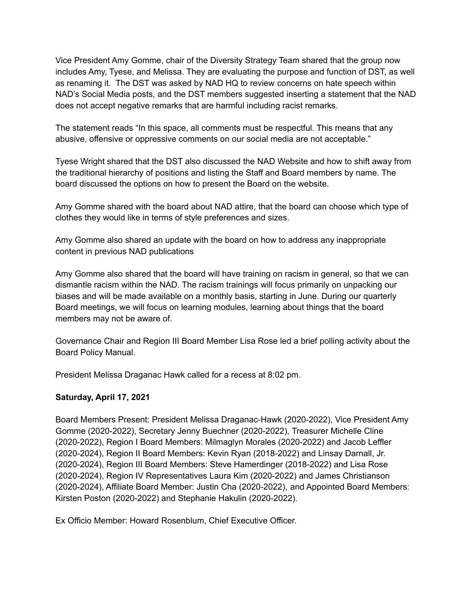Vice President Amy Gomme, chair of the Diversity Strategy Team shared that the group now includes Amy, Tyese, and Melissa. They are evaluating the purpose and function of DST, as well as renaming it. The DST was asked by NAD HQ to review concerns on hate speech within NAD's Social Media posts, and the DST members suggested inserting a statement that the NAD does not accept negative remarks that are harmful including racist remarks.

The statement reads "In this space, all comments must be respectful. This means that any abusive, offensive or oppressive comments on our social media are not acceptable."

Tyese Wright shared that the DST also discussed the NAD Website and how to shift away from the traditional hierarchy of positions and listing the Staff and Board members by name. The board discussed the options on how to present the Board on the website.

Amy Gomme shared with the board about NAD attire, that the board can choose which type of clothes they would like in terms of style preferences and sizes.

Amy Gomme also shared an update with the board on how to address any inappropriate content in previous NAD publications

Amy Gomme also shared that the board will have training on racism in general, so that we can dismantle racism within the NAD. The racism trainings will focus primarily on unpacking our biases and will be made available on a monthly basis, starting in June. During our quarterly Board meetings, we will focus on learning modules, learning about things that the board members may not be aware of.

Governance Chair and Region III Board Member Lisa Rose led a brief polling activity about the Board Policy Manual.

President Melissa Draganac Hawk called for a recess at 8:02 pm.

# **Saturday, April 17, 2021**

Board Members Present: President Melissa Draganac-Hawk (2020-2022), Vice President Amy Gomme (2020-2022), Secretary Jenny Buechner (2020-2022), Treasurer Michelle Cline (2020-2022), Region I Board Members: Milmaglyn Morales (2020-2022) and Jacob Leffler (2020-2024), Region II Board Members: Kevin Ryan (2018-2022) and Linsay Darnall, Jr. (2020-2024), Region III Board Members: Steve Hamerdinger (2018-2022) and Lisa Rose (2020-2024), Region IV Representatives Laura Kim (2020-2022) and James Christianson (2020-2024), Affiliate Board Member: Justin Cha (2020-2022), and Appointed Board Members: Kirsten Poston (2020-2022) and Stephanie Hakulin (2020-2022).

Ex Officio Member: Howard Rosenblum, Chief Executive Officer.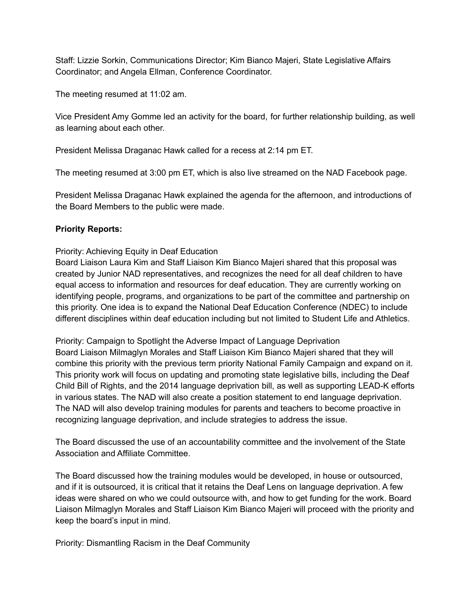Staff: Lizzie Sorkin, Communications Director; Kim Bianco Majeri, State Legislative Affairs Coordinator; and Angela Ellman, Conference Coordinator.

The meeting resumed at 11:02 am.

Vice President Amy Gomme led an activity for the board, for further relationship building, as well as learning about each other.

President Melissa Draganac Hawk called for a recess at 2:14 pm ET.

The meeting resumed at 3:00 pm ET, which is also live streamed on the NAD Facebook page.

President Melissa Draganac Hawk explained the agenda for the afternoon, and introductions of the Board Members to the public were made.

## **Priority Reports:**

Priority: Achieving Equity in Deaf Education

Board Liaison Laura Kim and Staff Liaison Kim Bianco Majeri shared that this proposal was created by Junior NAD representatives, and recognizes the need for all deaf children to have equal access to information and resources for deaf education. They are currently working on identifying people, programs, and organizations to be part of the committee and partnership on this priority. One idea is to expand the National Deaf Education Conference (NDEC) to include different disciplines within deaf education including but not limited to Student Life and Athletics.

Priority: Campaign to Spotlight the Adverse Impact of Language Deprivation Board Liaison Milmaglyn Morales and Staff Liaison Kim Bianco Majeri shared that they will combine this priority with the previous term priority National Family Campaign and expand on it. This priority work will focus on updating and promoting state legislative bills, including the Deaf Child Bill of Rights, and the 2014 language deprivation bill, as well as supporting LEAD-K efforts in various states. The NAD will also create a position statement to end language deprivation. The NAD will also develop training modules for parents and teachers to become proactive in recognizing language deprivation, and include strategies to address the issue.

The Board discussed the use of an accountability committee and the involvement of the State Association and Affiliate Committee.

The Board discussed how the training modules would be developed, in house or outsourced, and if it is outsourced, it is critical that it retains the Deaf Lens on language deprivation. A few ideas were shared on who we could outsource with, and how to get funding for the work. Board Liaison Milmaglyn Morales and Staff Liaison Kim Bianco Majeri will proceed with the priority and keep the board's input in mind.

Priority: Dismantling Racism in the Deaf Community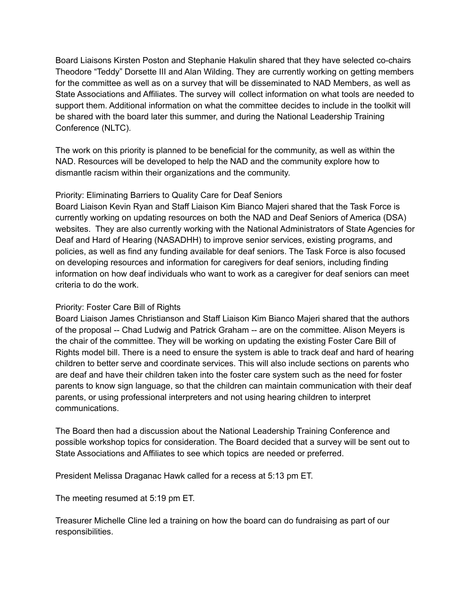Board Liaisons Kirsten Poston and Stephanie Hakulin shared that they have selected co-chairs Theodore "Teddy" Dorsette III and Alan Wilding. They are currently working on getting members for the committee as well as on a survey that will be disseminated to NAD Members, as well as State Associations and Affiliates. The survey will collect information on what tools are needed to support them. Additional information on what the committee decides to include in the toolkit will be shared with the board later this summer, and during the National Leadership Training Conference (NLTC).

The work on this priority is planned to be beneficial for the community, as well as within the NAD. Resources will be developed to help the NAD and the community explore how to dismantle racism within their organizations and the community.

## Priority: Eliminating Barriers to Quality Care for Deaf Seniors

Board Liaison Kevin Ryan and Staff Liaison Kim Bianco Majeri shared that the Task Force is currently working on updating resources on both the NAD and Deaf Seniors of America (DSA) websites. They are also currently working with the National Administrators of State Agencies for Deaf and Hard of Hearing (NASADHH) to improve senior services, existing programs, and policies, as well as find any funding available for deaf seniors. The Task Force is also focused on developing resources and information for caregivers for deaf seniors, including finding information on how deaf individuals who want to work as a caregiver for deaf seniors can meet criteria to do the work.

## Priority: Foster Care Bill of Rights

Board Liaison James Christianson and Staff Liaison Kim Bianco Majeri shared that the authors of the proposal -- Chad Ludwig and Patrick Graham -- are on the committee. Alison Meyers is the chair of the committee. They will be working on updating the existing Foster Care Bill of Rights model bill. There is a need to ensure the system is able to track deaf and hard of hearing children to better serve and coordinate services. This will also include sections on parents who are deaf and have their children taken into the foster care system such as the need for foster parents to know sign language, so that the children can maintain communication with their deaf parents, or using professional interpreters and not using hearing children to interpret communications.

The Board then had a discussion about the National Leadership Training Conference and possible workshop topics for consideration. The Board decided that a survey will be sent out to State Associations and Affiliates to see which topics are needed or preferred.

President Melissa Draganac Hawk called for a recess at 5:13 pm ET.

The meeting resumed at 5:19 pm ET.

Treasurer Michelle Cline led a training on how the board can do fundraising as part of our responsibilities.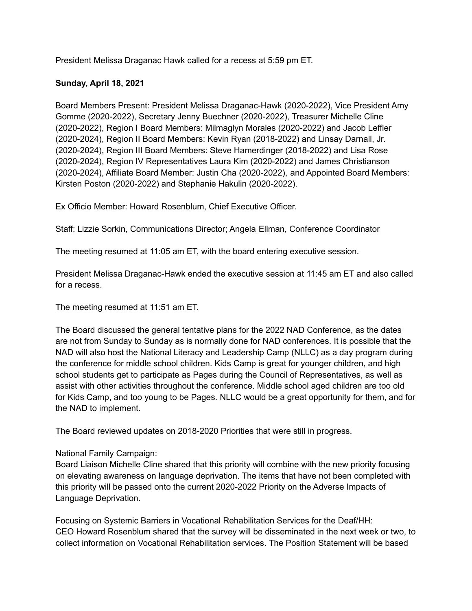President Melissa Draganac Hawk called for a recess at 5:59 pm ET.

## **Sunday, April 18, 2021**

Board Members Present: President Melissa Draganac-Hawk (2020-2022), Vice President Amy Gomme (2020-2022), Secretary Jenny Buechner (2020-2022), Treasurer Michelle Cline (2020-2022), Region I Board Members: Milmaglyn Morales (2020-2022) and Jacob Leffler (2020-2024), Region II Board Members: Kevin Ryan (2018-2022) and Linsay Darnall, Jr. (2020-2024), Region III Board Members: Steve Hamerdinger (2018-2022) and Lisa Rose (2020-2024), Region IV Representatives Laura Kim (2020-2022) and James Christianson (2020-2024), Affiliate Board Member: Justin Cha (2020-2022), and Appointed Board Members: Kirsten Poston (2020-2022) and Stephanie Hakulin (2020-2022).

Ex Officio Member: Howard Rosenblum, Chief Executive Officer.

Staff: Lizzie Sorkin, Communications Director; Angela Ellman, Conference Coordinator

The meeting resumed at 11:05 am ET, with the board entering executive session.

President Melissa Draganac-Hawk ended the executive session at 11:45 am ET and also called for a recess.

The meeting resumed at 11:51 am ET.

The Board discussed the general tentative plans for the 2022 NAD Conference, as the dates are not from Sunday to Sunday as is normally done for NAD conferences. It is possible that the NAD will also host the National Literacy and Leadership Camp (NLLC) as a day program during the conference for middle school children. Kids Camp is great for younger children, and high school students get to participate as Pages during the Council of Representatives, as well as assist with other activities throughout the conference. Middle school aged children are too old for Kids Camp, and too young to be Pages. NLLC would be a great opportunity for them, and for the NAD to implement.

The Board reviewed updates on 2018-2020 Priorities that were still in progress.

#### National Family Campaign:

Board Liaison Michelle Cline shared that this priority will combine with the new priority focusing on elevating awareness on language deprivation. The items that have not been completed with this priority will be passed onto the current 2020-2022 Priority on the Adverse Impacts of Language Deprivation.

Focusing on Systemic Barriers in Vocational Rehabilitation Services for the Deaf/HH: CEO Howard Rosenblum shared that the survey will be disseminated in the next week or two, to collect information on Vocational Rehabilitation services. The Position Statement will be based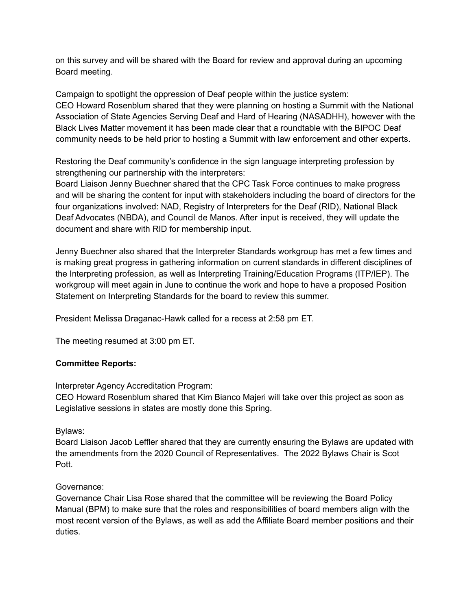on this survey and will be shared with the Board for review and approval during an upcoming Board meeting.

Campaign to spotlight the oppression of Deaf people within the justice system: CEO Howard Rosenblum shared that they were planning on hosting a Summit with the National Association of State Agencies Serving Deaf and Hard of Hearing (NASADHH), however with the Black Lives Matter movement it has been made clear that a roundtable with the BIPOC Deaf community needs to be held prior to hosting a Summit with law enforcement and other experts.

Restoring the Deaf community's confidence in the sign language interpreting profession by strengthening our partnership with the interpreters:

Board Liaison Jenny Buechner shared that the CPC Task Force continues to make progress and will be sharing the content for input with stakeholders including the board of directors for the four organizations involved: NAD, Registry of Interpreters for the Deaf (RID), National Black Deaf Advocates (NBDA), and Council de Manos. After input is received, they will update the document and share with RID for membership input.

Jenny Buechner also shared that the Interpreter Standards workgroup has met a few times and is making great progress in gathering information on current standards in different disciplines of the Interpreting profession, as well as Interpreting Training/Education Programs (ITP/IEP). The workgroup will meet again in June to continue the work and hope to have a proposed Position Statement on Interpreting Standards for the board to review this summer.

President Melissa Draganac-Hawk called for a recess at 2:58 pm ET.

The meeting resumed at 3:00 pm ET.

#### **Committee Reports:**

Interpreter Agency Accreditation Program:

CEO Howard Rosenblum shared that Kim Bianco Majeri will take over this project as soon as Legislative sessions in states are mostly done this Spring.

#### Bylaws:

Board Liaison Jacob Leffler shared that they are currently ensuring the Bylaws are updated with the amendments from the 2020 Council of Representatives. The 2022 Bylaws Chair is Scot Pott.

#### Governance:

Governance Chair Lisa Rose shared that the committee will be reviewing the Board Policy Manual (BPM) to make sure that the roles and responsibilities of board members align with the most recent version of the Bylaws, as well as add the Affiliate Board member positions and their duties.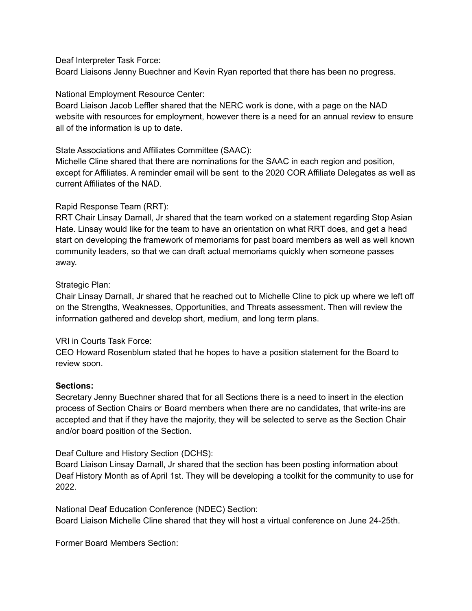Deaf Interpreter Task Force:

Board Liaisons Jenny Buechner and Kevin Ryan reported that there has been no progress.

## National Employment Resource Center:

Board Liaison Jacob Leffler shared that the NERC work is done, with a page on the NAD website with resources for employment, however there is a need for an annual review to ensure all of the information is up to date.

State Associations and Affiliates Committee (SAAC):

Michelle Cline shared that there are nominations for the SAAC in each region and position, except for Affiliates. A reminder email will be sent to the 2020 COR Affiliate Delegates as well as current Affiliates of the NAD.

## Rapid Response Team (RRT):

RRT Chair Linsay Darnall, Jr shared that the team worked on a statement regarding Stop Asian Hate. Linsay would like for the team to have an orientation on what RRT does, and get a head start on developing the framework of memoriams for past board members as well as well known community leaders, so that we can draft actual memoriams quickly when someone passes away.

## Strategic Plan:

Chair Linsay Darnall, Jr shared that he reached out to Michelle Cline to pick up where we left off on the Strengths, Weaknesses, Opportunities, and Threats assessment. Then will review the information gathered and develop short, medium, and long term plans.

#### VRI in Courts Task Force:

CEO Howard Rosenblum stated that he hopes to have a position statement for the Board to review soon.

#### **Sections:**

Secretary Jenny Buechner shared that for all Sections there is a need to insert in the election process of Section Chairs or Board members when there are no candidates, that write-ins are accepted and that if they have the majority, they will be selected to serve as the Section Chair and/or board position of the Section.

Deaf Culture and History Section (DCHS):

Board Liaison Linsay Darnall, Jr shared that the section has been posting information about Deaf History Month as of April 1st. They will be developing a toolkit for the community to use for 2022.

National Deaf Education Conference (NDEC) Section: Board Liaison Michelle Cline shared that they will host a virtual conference on June 24-25th.

Former Board Members Section: